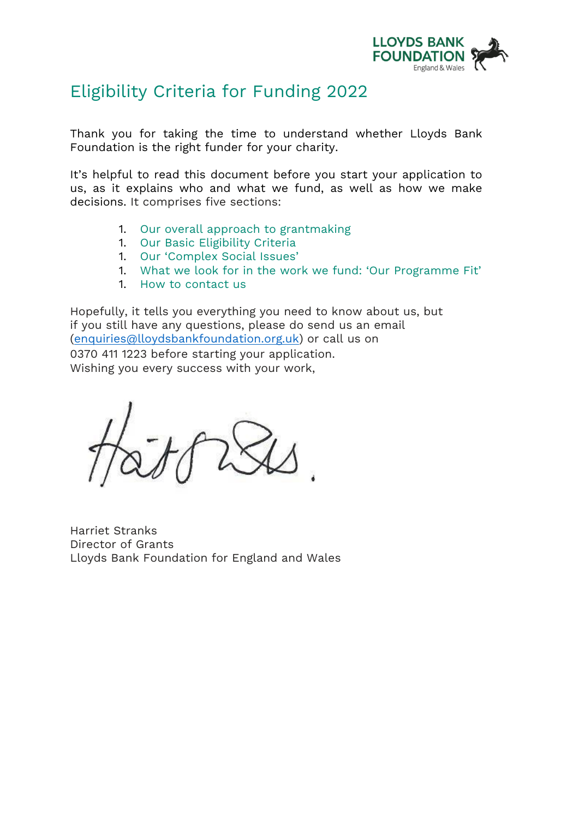

# Eligibility Criteria for Funding 2022

Thank you for taking the time to understand whether Lloyds Bank Foundation is the right funder for your charity.

It's helpful to read this document before you start your application to us, as it explains who and what we fund, as well as how we make decisions. It comprises five sections:

- 1. Our overall approach to grantmaking
- 1. Our Basic Eligibility Criteria
- 1. Our 'Complex Social Issues'
- 1. What we look for in the work we fund: 'Our Programme Fit'
- 1. How to contact us

Hopefully, it tells you everything you need to know about us, but if you still have any questions, please do send us an email [\(enquiries@lloydsbankfoundation.org.uk\)](mailto:enquiries@lloydsbankfoundation.org.uk) or call us on 0370 411 1223 before starting your application. Wishing you every success with your work,

Harriet Stranks Director of Grants Lloyds Bank Foundation for England and Wales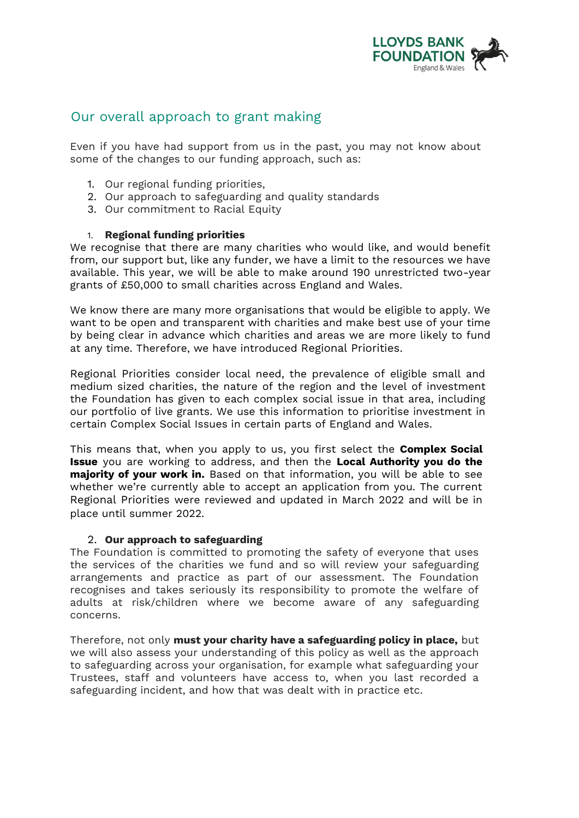

## Our overall approach to grant making

Even if you have had support from us in the past, you may not know about some of the changes to our funding approach, such as:

- 1. Our regional funding priorities,
- 2. Our approach to safeguarding and quality standards
- 3. Our commitment to Racial Equity

#### 1. **Regional funding priorities**

We recognise that there are many charities who would like, and would benefit from, our support but, like any funder, we have a limit to the resources we have available. This year, we will be able to make around 190 unrestricted two-year grants of £50,000 to small charities across England and Wales.

We know there are many more organisations that would be eligible to apply. We want to be open and transparent with charities and make best use of your time by being clear in advance which charities and areas we are more likely to fund at any time. Therefore, we have introduced Regional Priorities.

Regional Priorities consider local need, the prevalence of eligible small and medium sized charities, the nature of the region and the level of investment the Foundation has given to each complex social issue in that area, including our portfolio of live grants. We use this information to prioritise investment in certain Complex Social Issues in certain parts of England and Wales.

This means that, when you apply to us, you first select the **Complex Social Issue** you are working to address, and then the **Local Authority you do the majority of your work in.** Based on that information, you will be able to see whether we're currently able to accept an application from you. The current Regional Priorities were reviewed and updated in March 2022 and will be in place until summer 2022.

#### 2. **Our approach to safeguarding**

The Foundation is committed to promoting the safety of everyone that uses the services of the charities we fund and so will review your safeguarding arrangements and practice as part of our assessment. The Foundation recognises and takes seriously its responsibility to promote the welfare of adults at risk/children where we become aware of any safeguarding concerns.

Therefore, not only **must your charity have a safeguarding policy in place,** but we will also assess your understanding of this policy as well as the approach to safeguarding across your organisation, for example what safeguarding your Trustees, staff and volunteers have access to, when you last recorded a safeguarding incident, and how that was dealt with in practice etc.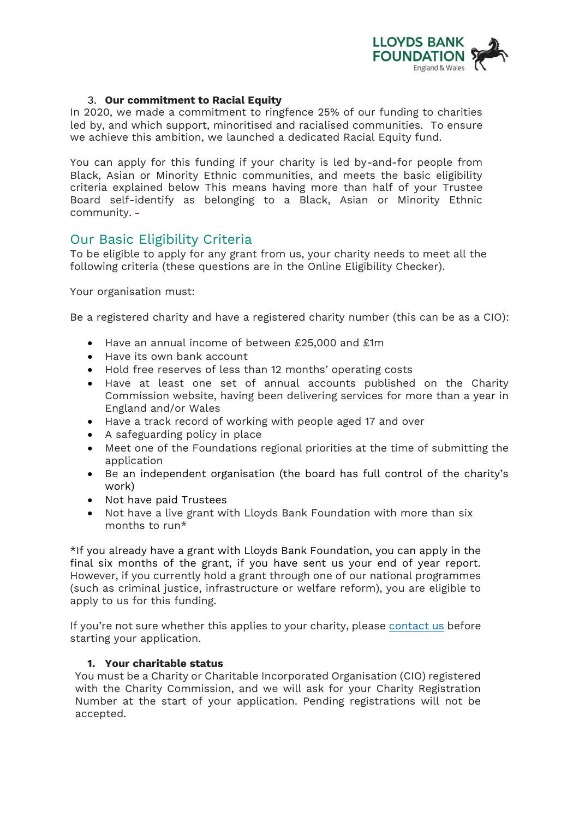

#### 3. **Our commitment to Racial Equity**

In 2020, we made a commitment to ringfence 25% of our funding to charities led by, and which support, minoritised and racialised communities. To ensure we achieve this ambition, we launched a dedicated Racial Equity fund.

You can apply for this funding if your charity is led by-and-for people from Black, Asian or Minority Ethnic communities, and meets the basic eligibility criteria explained below This means having more than half of your Trustee Board self-identify as belonging to a Black, Asian or Minority Ethnic community.

### Our Basic Eligibility Criteria

To be eligible to apply for any grant from us, your charity needs to meet all the following criteria (these questions are in the Online Eligibility Checker).

Your organisation must:

Be a registered charity and have a registered charity number (this can be as a CIO):

- Have an annual income of between £25,000 and £1m
- Have its own bank account
- Hold free reserves of less than 12 months' operating costs
- Have at least one set of annual accounts published on the Charity Commission website, having been delivering services for more than a year in England and/or Wales
- Have a track record of working with people aged 17 and over
- A safeguarding policy in place
- Meet one of the Foundations regional priorities at the time of submitting the application
- Be an independent organisation (the board has full control of the charity's work)
- Not have paid Trustees
- Not have a live grant with Lloyds Bank Foundation with more than six months to run\*

\*If you already have a grant with Lloyds Bank Foundation, you can apply in the final six months of the grant, if you have sent us your end of year report. However, if you currently hold a grant through one of our national programmes (such as criminal justice, infrastructure or welfare reform), you are eligible to apply to us for this funding.

If you're not sure whether this applies to your charity, please contact us before starting your application.

#### **1. Your charitable status**

You must be a Charity or Charitable Incorporated Organisation (CIO) registered with the Charity Commission, and we will ask for your Charity Registration Number at the start of your application. Pending registrations will not be accepted.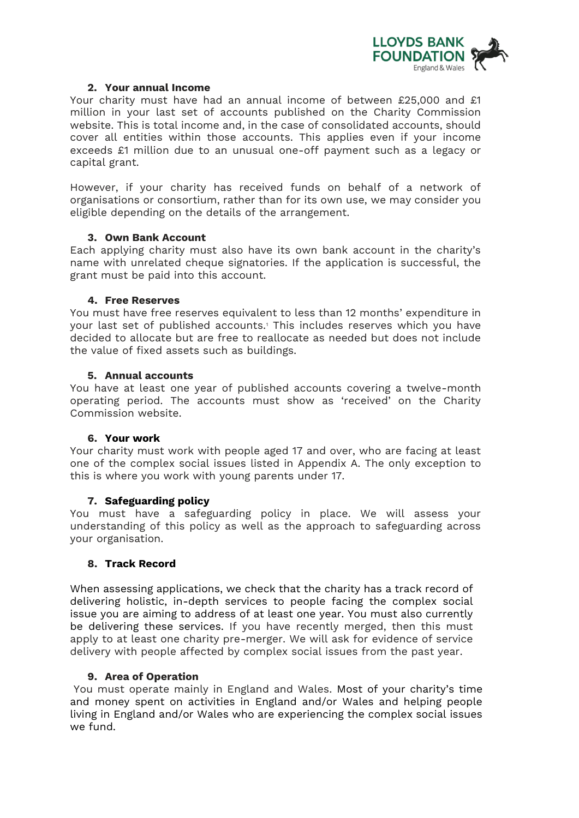

#### **2. Your annual Income**

Your charity must have had an annual income of between £25,000 and £1 million in your last set of accounts published on the Charity Commission website. This is total income and, in the case of consolidated accounts, should cover all entities within those accounts. This applies even if your income exceeds £1 million due to an unusual one-off payment such as a legacy or capital grant.

However, if your charity has received funds on behalf of a network of organisations or consortium, rather than for its own use, we may consider you eligible depending on the details of the arrangement.

#### **3. Own Bank Account**

Each applying charity must also have its own bank account in the charity's name with unrelated cheque signatories. If the application is successful, the grant must be paid into this account.

#### **4. Free Reserves**

You must have free reserves equivalent to less than 12 months' expenditure in your last set of published accounts.<sup>1</sup> This includes reserves which you have decided to allocate but are free to reallocate as needed but does not include the value of fixed assets such as buildings.

#### **5. Annual accounts**

You have at least one year of published accounts covering a twelve-month operating period. The accounts must show as 'received' on the Charity Commission website.

#### **6. Your work**

Your charity must work with people aged 17 and over, who are facing at least one of the complex social issues listed in Appendix A. The only exception to this is where you work with young parents under 17.

#### **7. Safeguarding policy**

You must have a safeguarding policy in place. We will assess your understanding of this policy as well as the approach to safeguarding across your organisation.

#### **8. Track Record**

When assessing applications, we check that the charity has a track record of delivering holistic, in-depth services to people facing the complex social issue you are aiming to address of at least one year. You must also currently be delivering these services. If you have recently merged, then this must apply to at least one charity pre-merger. We will ask for evidence of service delivery with people affected by complex social issues from the past year.

#### **9. Area of Operation**

You must operate mainly in England and Wales. Most of your charity's time and money spent on activities in England and/or Wales and helping people living in England and/or Wales who are experiencing the complex social issues we fund.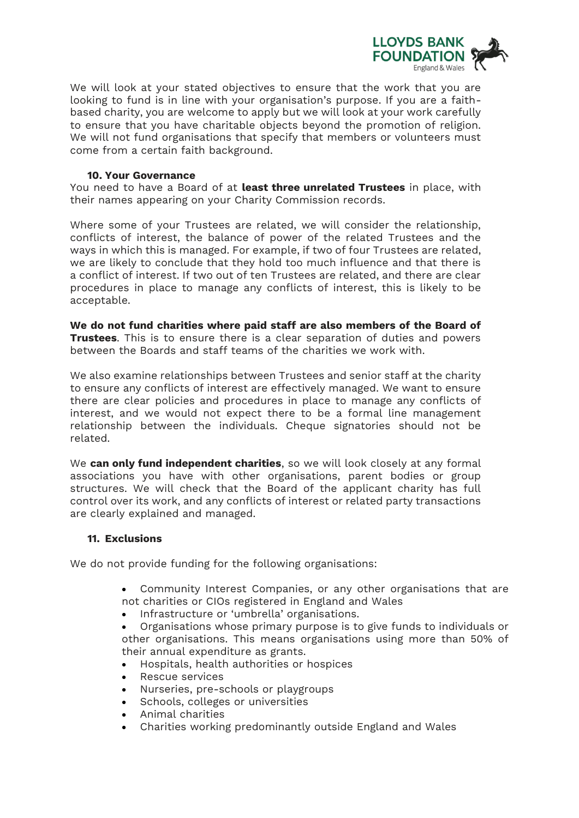

We will look at your stated objectives to ensure that the work that you are looking to fund is in line with your organisation's purpose. If you are a faithbased charity, you are welcome to apply but we will look at your work carefully to ensure that you have charitable objects beyond the promotion of religion. We will not fund organisations that specify that members or volunteers must come from a certain faith background.

#### **10. Your Governance**

You need to have a Board of at **least three unrelated Trustees** in place, with their names appearing on your Charity Commission records.

Where some of your Trustees are related, we will consider the relationship, conflicts of interest, the balance of power of the related Trustees and the ways in which this is managed. For example, if two of four Trustees are related, we are likely to conclude that they hold too much influence and that there is a conflict of interest. If two out of ten Trustees are related, and there are clear procedures in place to manage any conflicts of interest, this is likely to be acceptable.

**We do not fund charities where paid staff are also members of the Board of Trustees**. This is to ensure there is a clear separation of duties and powers between the Boards and staff teams of the charities we work with.

We also examine relationships between Trustees and senior staff at the charity to ensure any conflicts of interest are effectively managed. We want to ensure there are clear policies and procedures in place to manage any conflicts of interest, and we would not expect there to be a formal line management relationship between the individuals. Cheque signatories should not be related.

We **can only fund independent charities**, so we will look closely at any formal associations you have with other organisations, parent bodies or group structures. We will check that the Board of the applicant charity has full control over its work, and any conflicts of interest or related party transactions are clearly explained and managed.

#### **11. Exclusions**

We do not provide funding for the following organisations:

- Community Interest Companies, or any other organisations that are not charities or CIOs registered in England and Wales
- Infrastructure or 'umbrella' organisations.
- Organisations whose primary purpose is to give funds to individuals or other organisations. This means organisations using more than 50% of their annual expenditure as grants.
- Hospitals, health authorities or hospices
- Rescue services
- Nurseries, pre-schools or playgroups
- Schools, colleges or universities
- Animal charities
- Charities working predominantly outside England and Wales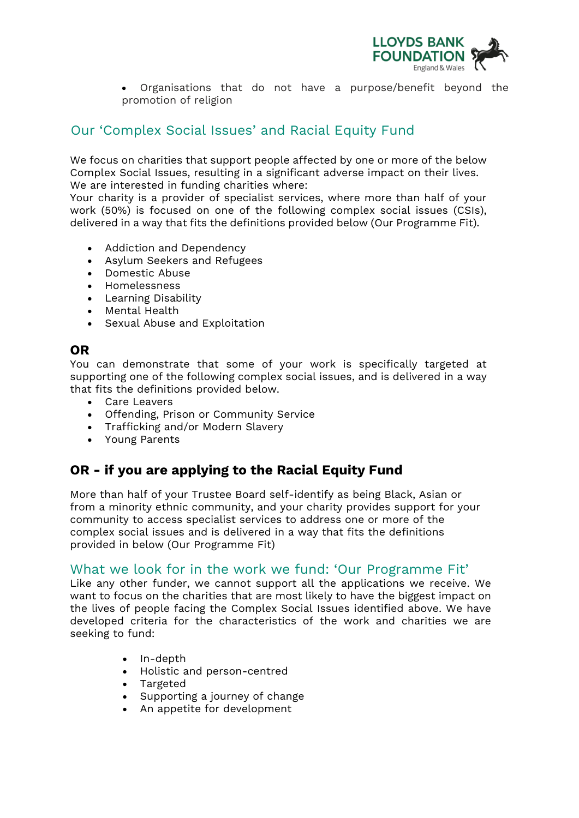

• Organisations that do not have a purpose/benefit beyond the promotion of religion

## Our 'Complex Social Issues' and Racial Equity Fund

We focus on charities that support people affected by one or more of the below Complex Social Issues, resulting in a significant adverse impact on their lives. We are interested in funding charities where:

Your charity is a provider of specialist services, where more than half of your work (50%) is focused on one of the following complex social issues (CSIs), delivered in a way that fits the definitions provided below (Our Programme Fit).

- Addiction and Dependency
- Asylum Seekers and Refugees
- Domestic Abuse
- Homelessness
- Learning Disability
- Mental Health
- Sexual Abuse and Exploitation

## **OR**

You can demonstrate that some of your work is specifically targeted at supporting one of the following complex social issues, and is delivered in a way that fits the definitions provided below.

- Care Leavers
- Offending, Prison or Community Service
- Trafficking and/or Modern Slavery
- Young Parents

## **OR - if you are applying to the Racial Equity Fund**

More than half of your Trustee Board self-identify as being Black, Asian or from a minority ethnic community, and your charity provides support for your community to access specialist services to address one or more of the complex social issues and is delivered in a way that fits the definitions provided in below (Our Programme Fit)

## What we look for in the work we fund: 'Our Programme Fit'

Like any other funder, we cannot support all the applications we receive. We want to focus on the charities that are most likely to have the biggest impact on the lives of people facing the Complex Social Issues identified above. We have developed criteria for the characteristics of the work and charities we are seeking to fund:

- In-depth
- Holistic and person-centred
- Targeted
- Supporting a journey of change
- An appetite for development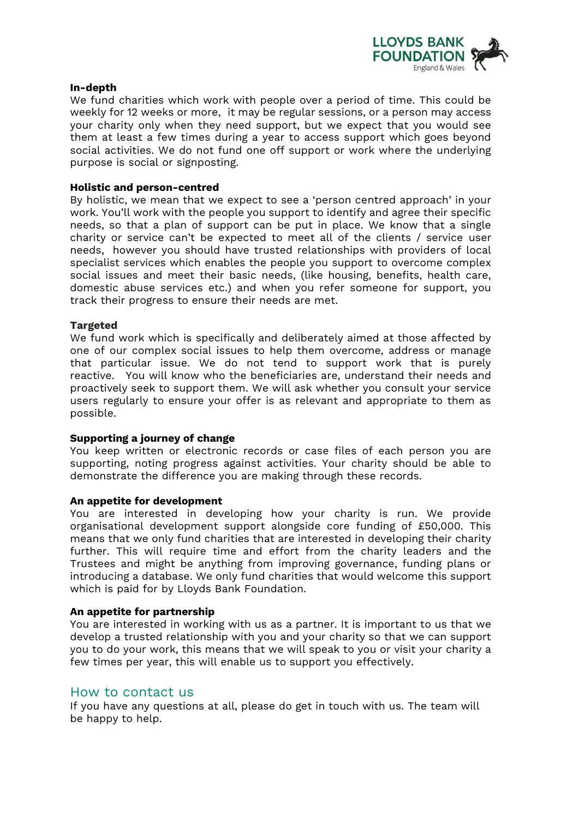

#### **In-depth**

We fund charities which work with people over a period of time. This could be weekly for 12 weeks or more, it may be regular sessions, or a person may access your charity only when they need support, but we expect that you would see them at least a few times during a year to access support which goes beyond social activities. We do not fund one off support or work where the underlying purpose is social or signposting.

#### **Holistic and person-centred**

By holistic, we mean that we expect to see a 'person centred approach' in your work. You'll work with the people you support to identify and agree their specific needs, so that a plan of support can be put in place. We know that a single charity or service can't be expected to meet all of the clients / service user needs, however you should have trusted relationships with providers of local specialist services which enables the people you support to overcome complex social issues and meet their basic needs, (like housing, benefits, health care, domestic abuse services etc.) and when you refer someone for support, you track their progress to ensure their needs are met.

#### **Targeted**

We fund work which is specifically and deliberately aimed at those affected by one of our complex social issues to help them overcome, address or manage that particular issue. We do not tend to support work that is purely reactive. You will know who the beneficiaries are, understand their needs and proactively seek to support them. We will ask whether you consult your service users regularly to ensure your offer is as relevant and appropriate to them as possible.

#### **Supporting a journey of change**

You keep written or electronic records or case files of each person you are supporting, noting progress against activities. Your charity should be able to demonstrate the difference you are making through these records.

#### **An appetite for development**

You are interested in developing how your charity is run. We provide organisational development support alongside core funding of £50,000. This means that we only fund charities that are interested in developing their charity further. This will require time and effort from the charity leaders and the Trustees and might be anything from improving governance, funding plans or introducing a database. We only fund charities that would welcome this support which is paid for by Lloyds Bank Foundation.

#### **An appetite for partnership**

You are interested in working with us as a partner. It is important to us that we develop a trusted relationship with you and your charity so that we can support you to do your work, this means that we will speak to you or visit your charity a few times per year, this will enable us to support you effectively.

#### How to contact us

If you have any questions at all, please do get in touch with us. The team will be happy to help.